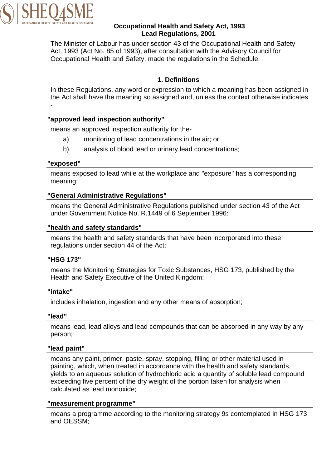

### **Occupational Health and Safety Act, 1993 Lead Regulations, 2001**

The Minister of Labour has under section 43 of the Occupational Health and Safety Act, 1993 (Act No. 85 of 1993), after consultation with the Advisory Council for Occupational Health and Safety. made the regulations in the Schedule.

### **1. Definitions**

In these Regulations, any word or expression to which a meaning has been assigned in the Act shall have the meaning so assigned and, unless the context otherwise indicates -

### **"approved lead inspection authority"**

means an approved inspection authority for the-

- a) monitoring of lead concentrations in the air; or
- b) analysis of blood lead or urinary lead concentrations;

### **"exposed"**

means exposed to lead while at the workplace and "exposure" has a corresponding meaning;

### **"General Administrative Regulations"**

means the General Administrative Regulations published under section 43 of the Act under Government Notice No. R.1449 of 6 September 1996:

### **"health and safety standards"**

means the health and safety standards that have been incorporated into these regulations under section 44 of the Act;

#### **"HSG 173"**

means the Monitoring Strategies for Toxic Substances, HSG 173, published by the Health and Safety Executive of the United Kingdom;

### **"intake"**

includes inhalation, ingestion and any other means of absorption;

#### **"lead"**

means lead, lead alloys and lead compounds that can be absorbed in any way by any person;

#### **"lead paint"**

means any paint, primer, paste, spray, stopping, filling or other material used in painting, which, when treated in accordance with the health and safety standards, yields to an aqueous solution of hydrochloric acid a quantity of soluble lead compound exceeding five percent of the dry weight of the portion taken for analysis when calculated as lead monoxide;

#### **"measurement programme"**

means a programme according to the monitoring strategy 9s contemplated in HSG 173 and OESSM;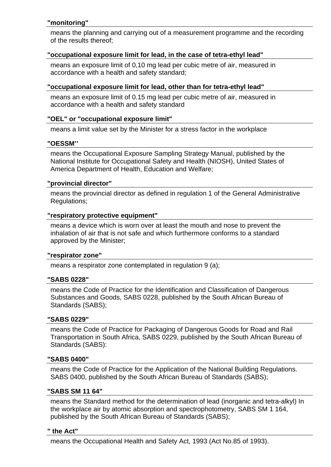### **"monitoring"**

means the planning and carrying out of a measurement programme and the recording of the results thereof;

### **"occupational exposure limit for lead, in the case of tetra-ethyl lead"**

means an exposure limit of 0,10 mg lead per cubic metre of air, measured in accordance with a health and safety standard;

#### **"occupational exposure limit for lead, other than for tetra-ethyl lead"**

means an exposure limit of 0.15 mg lead per cubic metre of air, measured in accordance with a health and safety standard

### **"OEL" or "occupational exposure limit"**

means a limit value set by the Minister for a stress factor in the workplace

#### **"OESSM''**

means the Occupational Exposure Sampling Strategy Manual, published by the National Institute for Occupational Safety and Health (NIOSH), United States of America Department of Health, Education and Welfare;

#### **"provincial director"**

means the provincial director as defined in regulation 1 of the General Administrative Regulations;

#### **"respiratory protective equipment"**

means a device which is worn over at least the mouth and nose to prevent the inhalation of air that is not safe and which furthermore conforms to a standard approved by the Minister;

#### **"respirator zone"**

means a respirator zone contemplated in regulation 9 (a);

#### **"SABS 0228"**

means the Code of Practice for the Identification and Classification of Dangerous Substances and Goods, SABS 0228, published by the South African Bureau of Standards (SABS);

#### **"SABS 0229"**

means the Code of Practice for Packaging of Dangerous Goods for Road and Rail Transportation in South Africa, SABS 0229, published by the South African Bureau of Standards (SABS):

#### **"SABS 0400"**

means the Code of Practice for the Application of the National Building Regulations. SABS 0400, published by the South African Bureau of Standards (SABS);

#### **"SABS SM 11 64"**

means the Standard method for the determination of lead (inorganic and tetra-alkyl) In the workplace air by atomic absorption and spectrophotometry, SABS SM 1 164, published by the South African Bureau of Standards (SABS);

#### **" the Act"**

means the Occupational Health and Safety Act, 1993 (Act No.85 of 1993).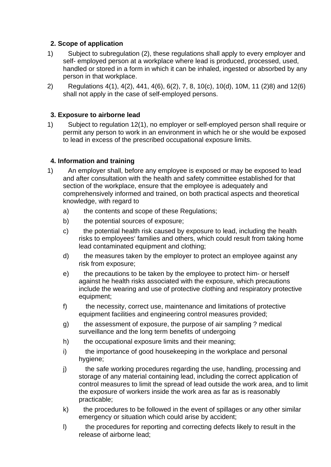### **2. Scope of application**

- 1) Subject to subregulation (2), these regulations shall apply to every employer and self- employed person at a workplace where lead is produced, processed, used, handled or stored in a form in which it can be inhaled, ingested or absorbed by any person in that workplace.
- 2) Regulations 4(1), 4(2), 441, 4(6), 6(2), 7, 8, 10(c), 10(d), 10M, 11 (2)8) and 12(6) shall not apply in the case of self-employed persons.

### **3. Exposure to airborne lead**

1) Subject to regulation 12(1), no employer or self-employed person shall require or permit any person to work in an environment in which he or she would be exposed to lead in excess of the prescribed occupational exposure limits.

### **4. Information and training**

- 1) An employer shall, before any employee is exposed or may be exposed to lead and after consultation with the health and safety committee established for that section of the workplace, ensure that the employee is adequately and comprehensively informed and trained, on both practical aspects and theoretical knowledge, with regard to
	- a) the contents and scope of these Regulations;
	- b) the potential sources of exposure;
	- c) the potential health risk caused by exposure to lead, including the health risks to employees' families and others, which could result from taking home lead contaminated equipment and clothing;
	- d) the measures taken by the employer to protect an employee against any risk from exposure;
	- e) the precautions to be taken by the employee to protect him- or herself against he health risks associated with the exposure, which precautions include the wearing and use of protective clothing and respiratory protective equipment;
	- f) the necessity, correct use, maintenance and limitations of protective equipment facilities and engineering control measures provided;
	- g) the assessment of exposure, the purpose of air sampling ? medical surveillance and the long term benefits of undergoing
	- h) the occupational exposure limits and their meaning;
	- i) the importance of good housekeeping in the workplace and personal hygiene;
	- j) the safe working procedures regarding the use, handling, processing and storage of any material containing lead, including the correct application of control measures to limit the spread of lead outside the work area, and to limit the exposure of workers inside the work area as far as is reasonably practicable;
	- k) the procedures to be followed in the event of spillages or any other similar emergency or situation which could arise by accident;
	- l) the procedures for reporting and correcting defects likely to result in the release of airborne lead;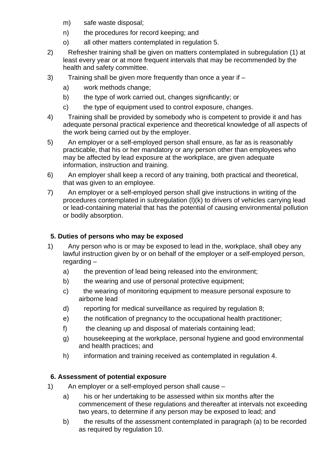- m) safe waste disposal;
- n) the procedures for record keeping; and
- o) all other matters contemplated in regulation 5.
- 2) Refresher training shall be given on matters contemplated in subregulation (1) at least every year or at more frequent intervals that may be recommended by the health and safety committee.
- 3) Training shall be given more frequently than once a year if
	- a) work methods change;
	- b) the type of work carried out, changes significantly; or
	- c) the type of equipment used to control exposure, changes.
- 4) Training shall be provided by somebody who is competent to provide it and has adequate personal practical experience and theoretical knowledge of all aspects of the work being carried out by the employer.
- 5) An employer or a self-employed person shall ensure, as far as is reasonably practicable, that his or her mandatory or any person other than employees who may be affected by lead exposure at the workplace, are given adequate information, instruction and training.
- 6) An employer shall keep a record of any training, both practical and theoretical, that was given to an employee.
- 7) An employer or a self-employed person shall give instructions in writing of the procedures contemplated in subregulation (l)(k) to drivers of vehicles carrying lead or lead-containing material that has the potential of causing environmental pollution or bodily absorption.

## **5. Duties of persons who may be exposed**

- 1) Any person who is or may be exposed to lead in the, workplace, shall obey any lawful instruction given by or on behalf of the employer or a self-employed person, regarding –
	- a) the prevention of lead being released into the environment;
	- b) the wearing and use of personal protective equipment;
	- c) the wearing of monitoring equipment to measure personal exposure to airborne lead
	- d) reporting for medical surveillance as required by regulation 8;
	- e) the notification of pregnancy to the occupational health practitioner;
	- f) the cleaning up and disposal of materials containing lead;
	- g) housekeeping at the workplace, personal hygiene and good environmental and health practices; and
	- h) information and training received as contemplated in regulation 4.

# **6. Assessment of potential exposure**

- 1) An employer or a self-employed person shall cause
	- a) his or her undertaking to be assessed within six months after the commencement of these regulations and thereafter at intervals not exceeding two years, to determine if any person may be exposed to lead; and
	- b) the results of the assessment contemplated in paragraph (a) to be recorded as required by regulation 10.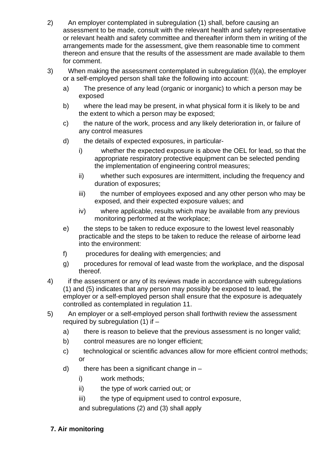- 2) An employer contemplated in subregulation (1) shall, before causing an assessment to be made, consult with the relevant health and safety representative or relevant health and safety committee and thereafter inform them in writing of the arrangements made for the assessment, give them reasonable time to comment thereon and ensure that the results of the assessment are made available to them for comment.
- 3) When making the assessment contemplated in subregulation (l)(a), the employer or a self-employed person shall take the following into account:
	- a) The presence of any lead (organic or inorganic) to which a person may be exposed
	- b) where the lead may be present, in what physical form it is likely to be and the extent to which a person may be exposed;
	- c) the nature of the work, process and any likely deterioration in, or failure of any control measures
	- d) the details of expected exposures, in particular
		- i) whether the expected exposure is above the OEL for lead, so that the appropriate respiratory protective equipment can be selected pending the implementation of engineering control measures;
		- ii) whether such exposures are intermittent, including the frequency and duration of exposures;
		- iii) the number of employees exposed and any other person who may be exposed, and their expected exposure values; and
		- iv) where applicable, results which may be available from any previous monitoring performed at the workplace;
	- e) the steps to be taken to reduce exposure to the lowest level reasonably practicable and the steps to be taken to reduce the release of airborne lead into the environment:
	- f) procedures for dealing with emergencies; and
	- g) procedures for removal of lead waste from the workplace, and the disposal thereof.
- 4) if the assessment or any of its reviews made in accordance with subregulations (1) and (5) indicates that any person may possibly be exposed to lead, the employer or a self-employed person shall ensure that the exposure is adequately controlled as contemplated in regulation 11.
- 5) An employer or a self-employed person shall forthwith review the assessment required by subregulation  $(1)$  if  $$ 
	- a) there is reason to believe that the previous assessment is no longer valid;
	- b) control measures are no longer efficient;
	- c) technological or scientific advances allow for more efficient control methods; or
	- d) there has been a significant change in  $$ 
		- i) work methods;
		- ii) the type of work carried out; or
		- iii) the type of equipment used to control exposure,

and subregulations (2) and (3) shall apply

# **7. Air monitoring**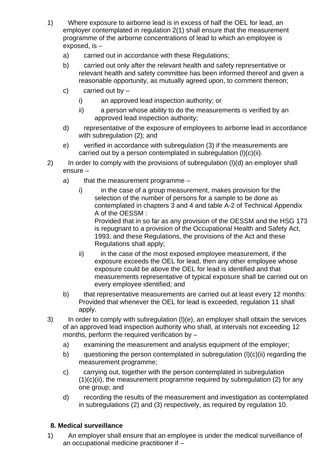- 1) Where exposure to airborne lead is in excess of half the OEL for lead, an employer contemplated in regulation 2(1) shall ensure that the measurement programme of the airborne concentrations of lead to which an employee is exposed, is –
	- a) carried out in accordance with these Regulations;
	- b) carried out only after the relevant health and safety representative or relevant health and safety committee has been informed thereof and given a reasonable opportunity, as mutually agreed upon, to comment thereon;
	- c) carried out by  $$ 
		- i) an approved lead inspection authority; or
		- ii) a person whose ability to do the measurements is verified by an approved lead inspection authority;
	- d) representative of the exposure of employees to airborne lead in accordance with subregulation (2); and
	- e) verified in accordance with subregulation (3) if the measurements are carried out by a person contemplated in subregulation (l)(c)(ii).
- 2) In order to comply with the provisions of subregulation (l)(d) an employer shall ensure –
	- a) that the measurement programme
		- i) in the case of a group measurement, makes provision for the selection of the number of persons for a sample to be done as contemplated in chapters 3 and 4 and table A-2 of Technical Appendix A of the OESSM :

Provided that in so far as any provision of the OESSM and the HSG 173 is repugnant to a provision of the Occupational Health and Safety Act, 1993, and these Regulations, the provisions of the Act and these Regulations shall apply;

- ii) in the case of the most exposed employee measurement, if the exposure exceeds the OEL for lead, then any other employee whose exposure could be above the OEL for lead is identified and that measurements representative of typical exposure shall be carried out on every employee identified; and
- b) that representative measurements are carried out at least every 12 months: Provided that whenever the OEL for lead is exceeded, regulation 11 shall apply.
- 3) In order to comply with subregulation (l)(e), an employer shall obtain the services of an approved lead inspection authority who shall, at intervals not exceeding 12 months, perform the required verification by  $$ 
	- a) examining the measurement and analysis equipment of the employer;
	- b) questioning the person contemplated in subregulation (l)(c)(ii) regarding the measurement programme;
	- c) carrying out, together with the person contemplated in subregulation  $(1)(c)(ii)$ , the measurement programme required by subregulation  $(2)$  for any one group; and
	- d) recording the results of the measurement and investigation as contemplated in subregulations (2) and (3) respectively, as required by regulation 10.

# **8. Medical surveillance**

1) An employer shall ensure that an employee is under the medical surveillance of an occupational medicine practitioner if –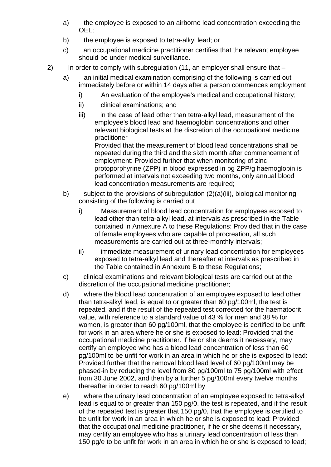- a) the employee is exposed to an airborne lead concentration exceeding the OEL;
- b) the employee is exposed to tetra-alkyl lead; or
- c) an occupational medicine practitioner certifies that the relevant employee should be under medical surveillance.
- 2) In order to comply with subregulation (11, an employer shall ensure that
	- a) an initial medical examination comprising of the following is carried out immediately before or within 14 days after a person commences employment
		- i) An evaluation of the employee's medical and occupational history;
		- ii) clinical examinations; and
		- iii) iii) in the case of lead other than tetra-alkyl lead, measurement of the employee's blood lead and haemoglobin concentrations and other relevant biological tests at the discretion of the occupational medicine practitioner

Provided that the measurement of blood lead concentrations shall be repeated during the third and the sixth month after commencement of employment: Provided further that when monitoring of zinc protoporphyrine (ZPP) in blood expressed in pg ZPP/g haemoglobin is performed at intervals not exceeding two months, only annual blood lead concentration measurements are required;

- b) subject to the provisions of subregulation (2)(a)(iii), biological monitoring consisting of the following is carried out
	- i) Measurement of blood lead concentration for employees exposed to lead other than tetra-alkyl lead, at intervals as prescribed in the Table contained in Annexure A to these Regulations: Provided that in the case of female employees who are capable of procreation, all such measurements are carried out at three-monthly intervals;
	- ii) immediate measurement of urinary lead concentration for employees exposed to tetra-alkyl lead and thereafter at intervals as prescribed in the Table contained in Annexure B to these Regulations;
- c) clinical examinations and relevant biological tests are carried out at the discretion of the occupational medicine practitioner;
- d) where the blood lead concentration of an employee exposed to lead other than tetra-alkyl lead, is equal to or greater than 60 pg/100ml, the test is repeated, and if the result of the repeated test corrected for the haematocrit value, with reference to a standard value of 43 % for men and 38 % for women, is greater than 60 pg/100ml, that the employee is certified to be unfit for work in an area where he or she is exposed to lead: Provided that the occupational medicine practitioner. if he or she deems it necessary, may certify an employee who has a blood lead concentration of less than 60 pg/100ml to be unfit for work in an area in which he or she is exposed to lead: Provided further that the removal blood lead level of 60 pg/100ml may be phased-in by reducing the level from 80 pg/100ml to 75 pg/100ml with effect from 30 June 2002, and then by a further 5 pg/100ml every twelve months thereafter in order to reach 60 pg/100ml by
- e) where the urinary lead concentration of an employee exposed to tetra-alkyl lead is equal to or greater than 150 pg/0, the test is repeated, and if the result of the repeated test is greater that 150 pg/0, that the employee is certified to be unfit for work in an area in which he or she is exposed to lead: Provided that the occupational medicine practitioner, if he or she deems it necessary, may certify an employee who has a urinary lead concentration of less than 150 pg/e to be unfit for work in an area in which he or she is exposed to lead;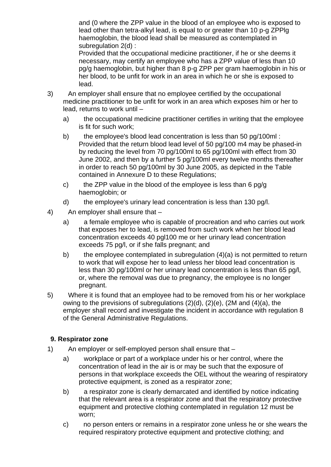and (0 where the ZPP value in the blood of an employee who is exposed to lead other than tetra-alkyl lead, is equal to or greater than 10 p-g ZPPlg haemoglobin, the blood lead shall be measured as contemplated in subregulation 2(d) :

Provided that the occupational medicine practitioner, if he or she deems it necessary, may certify an employee who has a ZPP value of less than 10 pg/g haemoglobin, but higher than 8 p-g ZPP per gram haemoglobin in his or her blood, to be unfit for work in an area in which he or she is exposed to lead.

- 3) An employer shall ensure that no employee certified by the occupational medicine practitioner to be unfit for work in an area which exposes him or her to lead, returns to work until –
	- a) the occupational medicine practitioner certifies in writing that the employee is fit for such work;
	- b) the employee's blood lead concentration is less than 50 pg/100ml : Provided that the return blood lead level of 50 pg/100 m4 may be phased-in by reducing the level from 70 pg/100ml to 65 pg/100ml with effect from 30 June 2002, and then by a further 5 pg/100ml every twelve months thereafter in order to reach 50 pg/100ml by 30 June 2005, as depicted in the Table contained in Annexure D to these Regulations;
	- c) the ZPP value in the blood of the employee is less than 6 pg/g haemoglobin; or
	- d) the employee's urinary lead concentration is less than 130 pg/l.
- 4) An employer shall ensure that
	- a) a female employee who is capable of procreation and who carries out work that exposes her to lead, is removed from such work when her blood lead concentration exceeds 40 pgl100 me or her urinary lead concentration exceeds 75 pg/l, or if she falls pregnant; and
	- b) the employee contemplated in subregulation (4)(a) is not permitted to return to work that will expose her to lead unless her blood lead concentration is less than 30 pg/100ml or her urinary lead concentration is less than 65 pg/l, or, where the removal was due to pregnancy, the employee is no longer pregnant.
- 5) Where it is found that an employee had to be removed from his or her workplace owing to the previsions of subregulations (2)(d), (2)(e), (2M and (4)(a), the employer shall record and investigate the incident in accordance with regulation 8 of the General Administrative Regulations.

### **9. Respirator zone**

- 1) An employer or self-employed person shall ensure that
	- a) workplace or part of a workplace under his or her control, where the concentration of lead in the air is or may be such that the exposure of persons in that workplace exceeds the OEL without the wearing of respiratory protective equipment, is zoned as a respirator zone;
	- b) a respirator zone is clearly demarcated and identified by notice indicating that the relevant area is a respirator zone and that the respiratory protective equipment and protective clothing contemplated in regulation 12 must be worn;
	- c) no person enters or remains in a respirator zone unless he or she wears the required respiratory protective equipment and protective clothing; and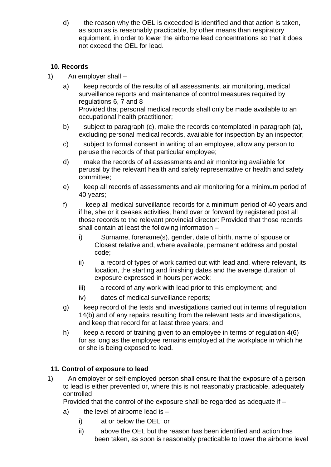d) the reason why the OEL is exceeded is identified and that action is taken, as soon as is reasonably practicable, by other means than respiratory equipment, in order to lower the airborne lead concentrations so that it does not exceed the OEL for lead.

# **10. Records**

- 1) An employer shall
	- a) keep records of the results of all assessments, air monitoring, medical surveillance reports and maintenance of control measures required by regulations 6, 7 and 8 Provided that personal medical records shall only be made available to an occupational health practitioner;
	- b) subject to paragraph (c), make the records contemplated in paragraph (a), excluding personal medical records, available for inspection by an inspector;
	- c) subject to formal consent in writing of an employee, allow any person to peruse the records of that particular employee;
	- d) make the records of all assessments and air monitoring available for perusal by the relevant health and safety representative or health and safety committee;
	- e) keep all records of assessments and air monitoring for a minimum period of 40 years;
	- f) keep all medical surveillance records for a minimum period of 40 years and if he, she or it ceases activities, hand over or forward by registered post all those records to the relevant provincial director: Provided that those records shall contain at least the following information –
		- i) Surname, forename(s), gender, date of birth, name of spouse or Closest relative and, where available, permanent address and postal code;
		- ii) a record of types of work carried out with lead and, where relevant, its location, the starting and finishing dates and the average duration of exposure expressed in hours per week;
		- iii) a record of any work with lead prior to this employment; and
		- iv) dates of medical surveillance reports;
	- g) keep record of the tests and investigations carried out in terms of regulation 14(b) and of any repairs resulting from the relevant tests and investigations, and keep that record for at least three years; and
	- h) keep a record of training given to an employee in terms of regulation 4(6) for as long as the employee remains employed at the workplace in which he or she is being exposed to lead.

# **11. Control of exposure to lead**

1) An employer or self-employed person shall ensure that the exposure of a person to lead is either prevented or, where this is not reasonably practicable, adequately controlled

Provided that the control of the exposure shall be regarded as adequate if –

- a) the level of airborne lead is  $$ 
	- i) at or below the OEL; or
	- ii) above the OEL but the reason has been identified and action has been taken, as soon is reasonably practicable to lower the airborne level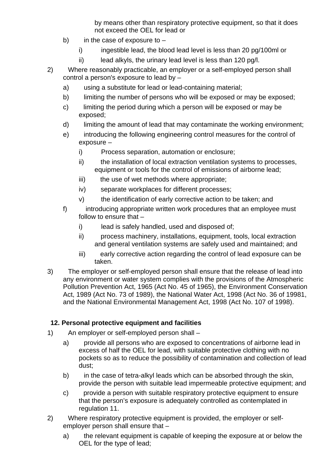by means other than respiratory protective equipment, so that it does not exceed the OEL for lead or

- b) in the case of exposure to
	- i) ingestible lead, the blood lead level is less than 20 pg/100ml or
	- ii) lead alkyls, the urinary lead level is less than 120 pg/l.
- 2) Where reasonably practicable, an employer or a self-employed person shall control a person's exposure to lead by –
	- a) using a substitute for lead or lead-containing material;
	- b) limiting the number of persons who will be exposed or may be exposed:
	- c) limiting the period during which a person will be exposed or may be exposed;
	- d) limiting the amount of lead that may contaminate the working environment;
	- e) introducing the following engineering control measures for the control of exposure –
		- i) Process separation, automation or enclosure;
		- ii) the installation of local extraction ventilation systems to processes, equipment or tools for the control of emissions of airborne lead;
		- iii) the use of wet methods where appropriate;
		- iv) separate workplaces for different processes;
		- v) the identification of early corrective action to be taken; and
	- f) introducing appropriate written work procedures that an employee must follow to ensure that –
		- i) lead is safely handled, used and disposed of;
		- ii) process machinery, installations, equipment, tools, local extraction and general ventilation systems are safely used and maintained; and
		- iii) early corrective action regarding the control of lead exposure can be taken.
- 3) The employer or self-employed person shall ensure that the release of lead into any environment or water system complies with the provisions of the Atmospheric Pollution Prevention Act, 1965 (Act No. 45 of 1965), the Environment Conservation Act, 1989 (Act No. 73 of 1989), the National Water Act, 1998 (Act No. 36 of 19981, and the National Environmental Management Act, 1998 (Act No. 107 of 1998).

# **12. Personal protective equipment and facilities**

- 1) An employer or self-employed person shall
	- a) provide all persons who are exposed to concentrations of airborne lead in excess of half the OEL for lead, with suitable protective clothing with no pockets so as to reduce the possibility of contamination and collection of lead dust;
	- b) in the case of tetra-alkyl leads which can be absorbed through the skin, provide the person with suitable lead impermeable protective equipment; and
	- c) provide a person with suitable respiratory protective equipment to ensure that the person's exposure is adequately controlled as contemplated in regulation 11.
- 2) Where respiratory protective equipment is provided, the employer or selfemployer person shall ensure that –
	- a) the relevant equipment is capable of keeping the exposure at or below the OEL for the type of lead;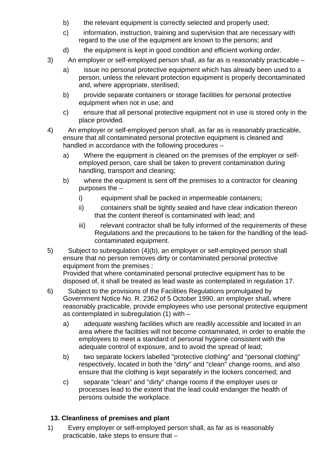- b) the relevant equipment is correctly selected and properly used;
- c) information, instruction, training and supervision that are necessary with regard to the use of the equipment are known to the persons; and
- d) the equipment is kept in good condition and efficient working order.
- 3) An employer or self-employed person shall, as far as is reasonably practicable
	- a) issue no personal protective equipment which has already been used to a person, unless the relevant protection equipment is properly decontaminated and, where appropriate, sterilised;
	- b) provide separate containers or storage facilities for personal protective equipment when not in use; and
	- c) ensure that all personal protective equipment not in use is stored only in the place provided.
- 4) An employer or self-employed person shall, as far as is reasonably practicable, ensure that all contaminated personal protective equipment is cleaned and handled in accordance with the following procedures –
	- a) Where the equipment is cleaned on the premises of the employer or selfemployed person, care shall be taken to prevent contamination during handling, transport and cleaning;
	- b) where the equipment is sent off the premises to a contractor for cleaning purposes the –
		- i) equipment shall be packed in impermeable containers;
		- ii) containers shall be tightly sealed and have clear indication thereon that the content thereof is contaminated with lead; and
		- iii) relevant contractor shall be fully informed of the requirements of these Regulations and the precautions to be taken for the handling of the leadcontaminated equipment.
- 5) Subject to subregulation (4)(b), an employer or self-employed person shall ensure that no person removes dirty or contaminated personal protective equipment from the premises :

Provided that where contaminated personal protective equipment has to be disposed of, it shall be treated as lead waste as contemplated in regulation 17.

- 6) Subject to the provisions of the Facilities Regulations promulgated by Government Notice No. R. 2362 of 5 October 1990, an employer shall, where reasonably practicable, provide employees who use personal protective equipment as contemplated in subregulation (1) with –
	- a) adequate washing facilities which are readily accessible and located in an area where the facilities will not become contaminated, in order to enable the employees to meet a standard of personal hygiene consistent with the adequate control of exposure, and to avoid the spread of lead;
	- b) two separate lockers labelled "protective clothing" and "personal clothing" respectively, located in both the "dirty" and "clean" change rooms, and also ensure that the clothing is kept separately in the lockers concerned; and
	- c) separate "clean" and "dirty" change rooms if the employer uses or processes lead to the extent that the lead could endanger the health of persons outside the workplace.

# **13. Cleanliness of premises and plant**

1) Every employer or self-employed person shall, as far as is reasonably practicable, take steps to ensure that –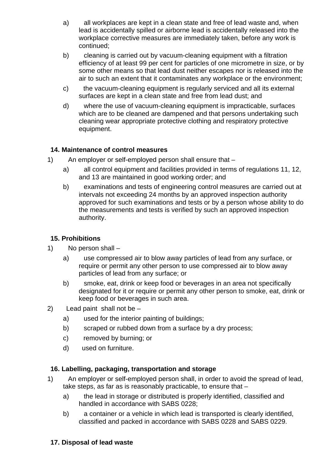- a) all workplaces are kept in a clean state and free of lead waste and, when lead is accidentally spilled or airborne lead is accidentally released into the workplace corrective measures are immediately taken, before any work is continued;
- b) cleaning is carried out by vacuum-cleaning equipment with a filtration efficiency of at least 99 per cent for particles of one micrometre in size, or by some other means so that lead dust neither escapes nor is released into the air to such an extent that it contaminates any workplace or the environment;
- c) the vacuum-cleaning equipment is regularly serviced and all its external surfaces are kept in a clean state and free from lead dust; and
- d) where the use of vacuum-cleaning equipment is impracticable, surfaces which are to be cleaned are dampened and that persons undertaking such cleaning wear appropriate protective clothing and respiratory protective equipment.

### **14. Maintenance of control measures**

- 1) An employer or self-employed person shall ensure that
	- a) all control equipment and facilities provided in terms of regulations 11, 12, and 13 are maintained in good working order; and
	- b) examinations and tests of engineering control measures are carried out at intervals not exceeding 24 months by an approved inspection authority approved for such examinations and tests or by a person whose ability to do the measurements and tests is verified by such an approved inspection authority.

### **15. Prohibitions**

- 1) No person shall
	- a) use compressed air to blow away particles of lead from any surface, or require or permit any other person to use compressed air to blow away particles of lead from any surface; or
	- b) smoke, eat, drink or keep food or beverages in an area not specifically designated for it or require or permit any other person to smoke, eat, drink or keep food or beverages in such area.
- 2) Lead paint shall not be
	- a) used for the interior painting of buildings;
	- b) scraped or rubbed down from a surface by a dry process;
	- c) removed by burning; or
	- d) used on furniture.

### **16. Labelling, packaging, transportation and storage**

- 1) An employer or self-employed person shall, in order to avoid the spread of lead, take steps, as far as is reasonably practicable, to ensure that –
	- a) the lead in storage or distributed is properly identified, classified and handled in accordance with SABS 0228;
	- b) a container or a vehicle in which lead is transported is clearly identified, classified and packed in accordance with SABS 0228 and SABS 0229.

### **17. Disposal of lead waste**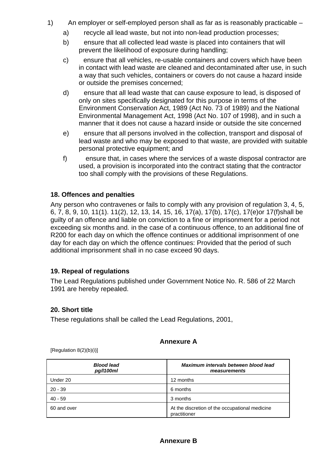- 1) An employer or self-employed person shall as far as is reasonably practicable
	- a) recycle all lead waste, but not into non-lead production processes;
	- b) ensure that all collected lead waste is placed into containers that will prevent the likelihood of exposure during handling;
	- c) ensure that all vehicles, re-usable containers and covers which have been in contact with lead waste are cleaned and decontaminated after use, in such a way that such vehicles, containers or covers do not cause a hazard inside or outside the premises concerned;
	- d) ensure that all lead waste that can cause exposure to lead, is disposed of only on sites specifically designated for this purpose in terms of the Environment Conservation Act, 1989 (Act No. 73 of 1989) and the National Environmental Management Act, 1998 (Act No. 107 of 1998), and in such a manner that it does not cause a hazard inside or outside the site concerned
	- e) ensure that all persons involved in the collection, transport and disposal of lead waste and who may be exposed to that waste, are provided with suitable personal protective equipment; and
	- f) ensure that, in cases where the services of a waste disposal contractor are used, a provision is incorporated into the contract stating that the contractor too shall comply with the provisions of these Regulations.

### **18. Offences and penalties**

Any person who contravenes or fails to comply with any provision of regulation 3, 4, 5, 6, 7, 8, 9, 10, 11(1). 11(2), 12, 13, 14, 15, 16, 17(a), 17(b), 17(c), 17(e)or 17(f)shall be guilty of an offence and liable on conviction to a fine or imprisonment for a period not exceeding six months and. in the case of a continuous offence, to an additional fine of R200 for each day on which the offence continues or additional imprisonment of one day for each day on which the offence continues: Provided that the period of such additional imprisonment shall in no case exceed 90 days.

### **19. Repeal of regulations**

The Lead Regulations published under Government Notice No. R. 586 of 22 March 1991 are hereby repealed.

### **20. Short title**

These regulations shall be called the Lead Regulations, 2001,

### **Annexure A**

[Regulation 8(2)(b)(i)]

| <b>Blood lead</b><br>pg/l100ml | Maximum intervals between blood lead<br>measurements           |
|--------------------------------|----------------------------------------------------------------|
| Under 20                       | 12 months                                                      |
| $20 - 39$                      | 6 months                                                       |
| $40 - 59$                      | 3 months                                                       |
| 60 and over                    | At the discretion of the occupational medicine<br>practitioner |